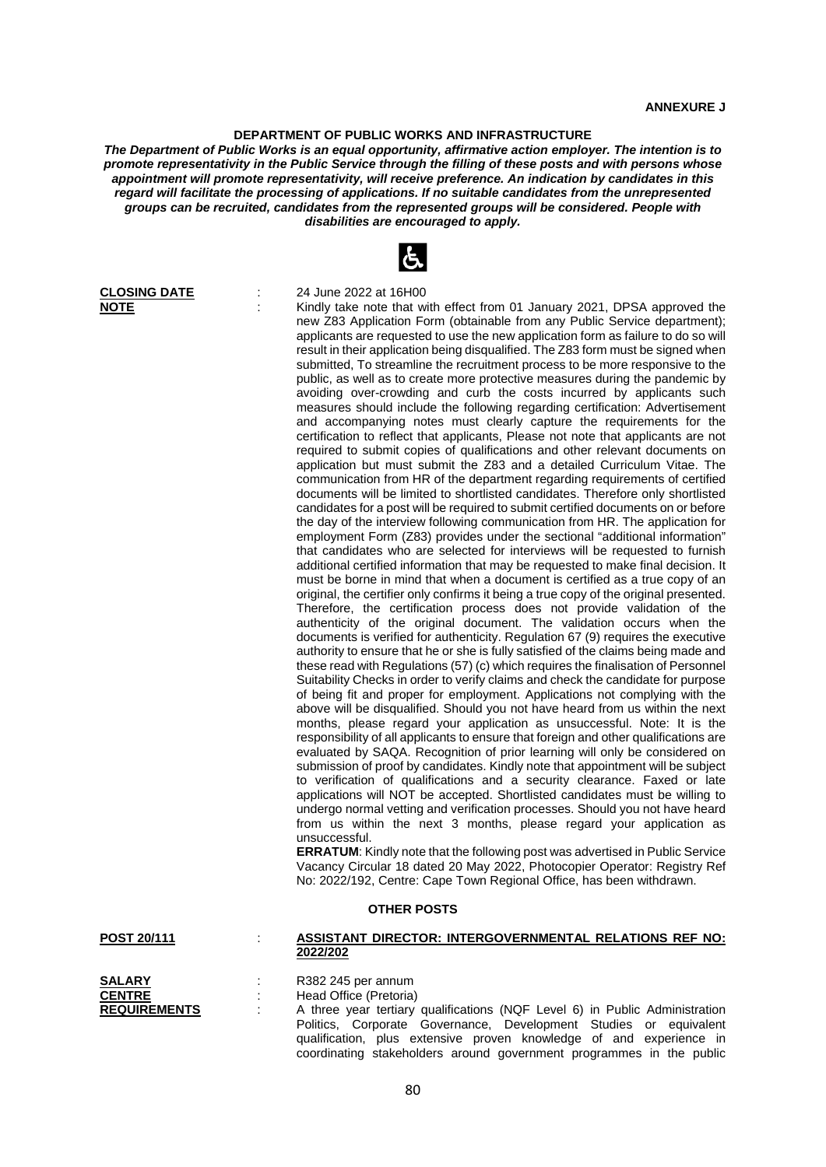## **DEPARTMENT OF PUBLIC WORKS AND INFRASTRUCTURE**

*The Department of Public Works is an equal opportunity, affirmative action employer. The intention is to promote representativity in the Public Service through the filling of these posts and with persons whose appointment will promote representativity, will receive preference. An indication by candidates in this regard will facilitate the processing of applications. If no suitable candidates from the unrepresented groups can be recruited, candidates from the represented groups will be considered. People with disabilities are encouraged to apply.*



**CLOSING DATE** : 24 June 2022 at 16H00

**NOTE** : Kindly take note that with effect from 01 January 2021, DPSA approved the new Z83 Application Form (obtainable from any Public Service department); applicants are requested to use the new application form as failure to do so will result in their application being disqualified. The Z83 form must be signed when submitted, To streamline the recruitment process to be more responsive to the public, as well as to create more protective measures during the pandemic by avoiding over-crowding and curb the costs incurred by applicants such measures should include the following regarding certification: Advertisement and accompanying notes must clearly capture the requirements for the certification to reflect that applicants, Please not note that applicants are not required to submit copies of qualifications and other relevant documents on application but must submit the Z83 and a detailed Curriculum Vitae. The communication from HR of the department regarding requirements of certified documents will be limited to shortlisted candidates. Therefore only shortlisted candidates for a post will be required to submit certified documents on or before the day of the interview following communication from HR. The application for employment Form (Z83) provides under the sectional "additional information" that candidates who are selected for interviews will be requested to furnish additional certified information that may be requested to make final decision. It must be borne in mind that when a document is certified as a true copy of an original, the certifier only confirms it being a true copy of the original presented. Therefore, the certification process does not provide validation of the authenticity of the original document. The validation occurs when the documents is verified for authenticity. Regulation 67 (9) requires the executive authority to ensure that he or she is fully satisfied of the claims being made and these read with Regulations (57) (c) which requires the finalisation of Personnel Suitability Checks in order to verify claims and check the candidate for purpose of being fit and proper for employment. Applications not complying with the above will be disqualified. Should you not have heard from us within the next months, please regard your application as unsuccessful. Note: It is the responsibility of all applicants to ensure that foreign and other qualifications are evaluated by SAQA. Recognition of prior learning will only be considered on submission of proof by candidates. Kindly note that appointment will be subject to verification of qualifications and a security clearance. Faxed or late applications will NOT be accepted. Shortlisted candidates must be willing to undergo normal vetting and verification processes. Should you not have heard from us within the next 3 months, please regard your application as unsuccessful.

**ERRATUM**: Kindly note that the following post was advertised in Public Service Vacancy Circular 18 dated 20 May 2022, Photocopier Operator: Registry Ref No: 2022/192, Centre: Cape Town Regional Office, has been withdrawn.

qualification, plus extensive proven knowledge of and experience in coordinating stakeholders around government programmes in the public

## **OTHER POSTS**

| POST 20/111         | <b>ASSISTANT DIRECTOR: INTERGOVERNMENTAL RELATIONS REF NO:</b>              |
|---------------------|-----------------------------------------------------------------------------|
|                     | 2022/202                                                                    |
|                     |                                                                             |
| <b>SALARY</b>       | R382 245 per annum                                                          |
| <b>CENTRE</b>       | Head Office (Pretoria)                                                      |
| <b>REQUIREMENTS</b> | A three year tertiary qualifications (NQF Level 6) in Public Administration |
|                     | Politics, Corporate Governance, Development Studies or equivalent           |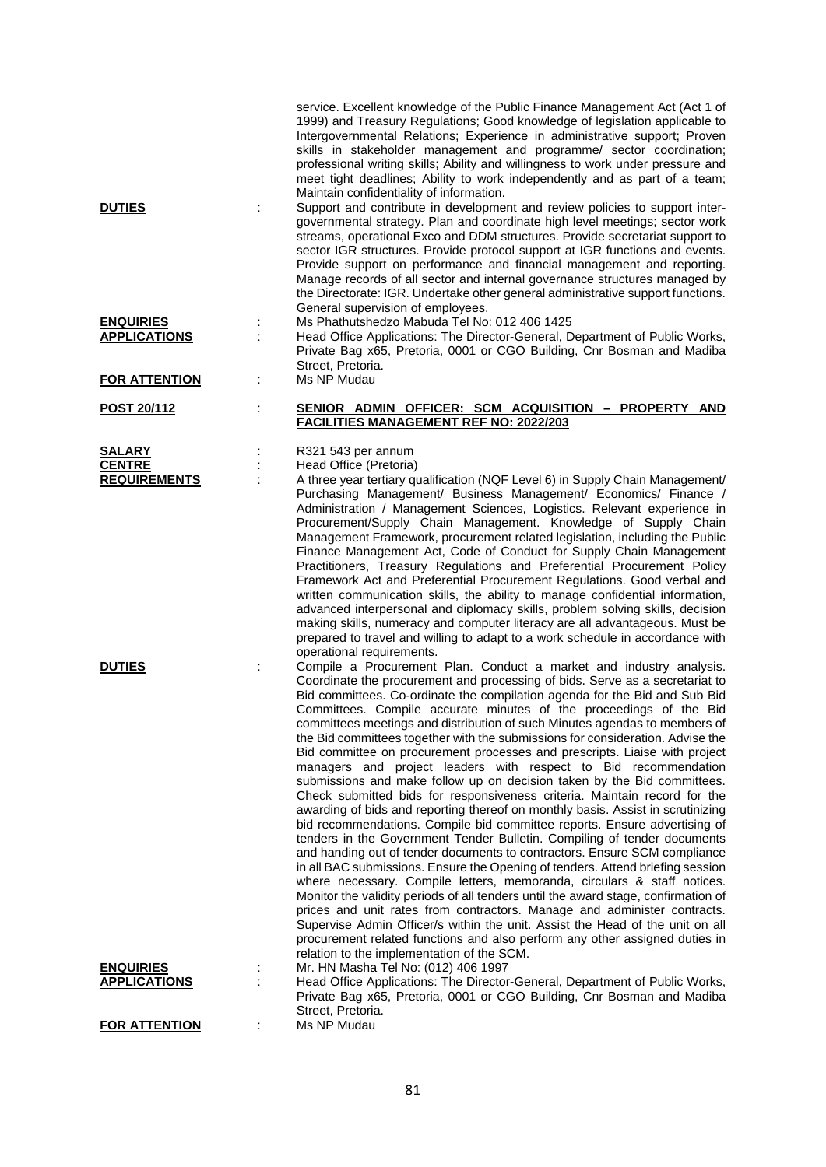|                                         |   | service. Excellent knowledge of the Public Finance Management Act (Act 1 of<br>1999) and Treasury Regulations; Good knowledge of legislation applicable to<br>Intergovernmental Relations; Experience in administrative support; Proven<br>skills in stakeholder management and programme/ sector coordination;<br>professional writing skills; Ability and willingness to work under pressure and<br>meet tight deadlines; Ability to work independently and as part of a team;<br>Maintain confidentiality of information.                                                                                                                                                                                                                                                                                                                                                                                                                                                                                                                                                                                                                                                                                                                                                                                                                                                                                                                                                                                                                                                                                                                           |
|-----------------------------------------|---|--------------------------------------------------------------------------------------------------------------------------------------------------------------------------------------------------------------------------------------------------------------------------------------------------------------------------------------------------------------------------------------------------------------------------------------------------------------------------------------------------------------------------------------------------------------------------------------------------------------------------------------------------------------------------------------------------------------------------------------------------------------------------------------------------------------------------------------------------------------------------------------------------------------------------------------------------------------------------------------------------------------------------------------------------------------------------------------------------------------------------------------------------------------------------------------------------------------------------------------------------------------------------------------------------------------------------------------------------------------------------------------------------------------------------------------------------------------------------------------------------------------------------------------------------------------------------------------------------------------------------------------------------------|
| <b>DUTIES</b>                           |   | Support and contribute in development and review policies to support inter-<br>governmental strategy. Plan and coordinate high level meetings; sector work<br>streams, operational Exco and DDM structures. Provide secretariat support to<br>sector IGR structures. Provide protocol support at IGR functions and events.<br>Provide support on performance and financial management and reporting.<br>Manage records of all sector and internal governance structures managed by<br>the Directorate: IGR. Undertake other general administrative support functions.<br>General supervision of employees.                                                                                                                                                                                                                                                                                                                                                                                                                                                                                                                                                                                                                                                                                                                                                                                                                                                                                                                                                                                                                                             |
| <b>ENQUIRIES</b><br><b>APPLICATIONS</b> |   | Ms Phathutshedzo Mabuda Tel No: 012 406 1425<br>Head Office Applications: The Director-General, Department of Public Works,<br>Private Bag x65, Pretoria, 0001 or CGO Building, Cnr Bosman and Madiba<br>Street, Pretoria.                                                                                                                                                                                                                                                                                                                                                                                                                                                                                                                                                                                                                                                                                                                                                                                                                                                                                                                                                                                                                                                                                                                                                                                                                                                                                                                                                                                                                             |
| <b>FOR ATTENTION</b>                    | ÷ | Ms NP Mudau                                                                                                                                                                                                                                                                                                                                                                                                                                                                                                                                                                                                                                                                                                                                                                                                                                                                                                                                                                                                                                                                                                                                                                                                                                                                                                                                                                                                                                                                                                                                                                                                                                            |
| POST 20/112                             | t | SENIOR ADMIN OFFICER: SCM ACQUISITION - PROPERTY AND<br><b>FACILITIES MANAGEMENT REF NO: 2022/203</b>                                                                                                                                                                                                                                                                                                                                                                                                                                                                                                                                                                                                                                                                                                                                                                                                                                                                                                                                                                                                                                                                                                                                                                                                                                                                                                                                                                                                                                                                                                                                                  |
| SALARY<br><b>CENTRE</b>                 |   | R321 543 per annum<br>Head Office (Pretoria)                                                                                                                                                                                                                                                                                                                                                                                                                                                                                                                                                                                                                                                                                                                                                                                                                                                                                                                                                                                                                                                                                                                                                                                                                                                                                                                                                                                                                                                                                                                                                                                                           |
| <b>REQUIREMENTS</b>                     |   | A three year tertiary qualification (NQF Level 6) in Supply Chain Management/<br>Purchasing Management/ Business Management/ Economics/ Finance /<br>Administration / Management Sciences, Logistics. Relevant experience in<br>Procurement/Supply Chain Management. Knowledge of Supply Chain<br>Management Framework, procurement related legislation, including the Public<br>Finance Management Act, Code of Conduct for Supply Chain Management<br>Practitioners, Treasury Regulations and Preferential Procurement Policy<br>Framework Act and Preferential Procurement Regulations. Good verbal and<br>written communication skills, the ability to manage confidential information,<br>advanced interpersonal and diplomacy skills, problem solving skills, decision<br>making skills, numeracy and computer literacy are all advantageous. Must be<br>prepared to travel and willing to adapt to a work schedule in accordance with<br>operational requirements.                                                                                                                                                                                                                                                                                                                                                                                                                                                                                                                                                                                                                                                                              |
| <b>DUTIES</b>                           |   | Compile a Procurement Plan. Conduct a market and industry analysis.<br>Coordinate the procurement and processing of bids. Serve as a secretariat to<br>Bid committees. Co-ordinate the compilation agenda for the Bid and Sub Bid<br>Committees. Compile accurate minutes of the proceedings of the Bid<br>committees meetings and distribution of such Minutes agendas to members of<br>the Bid committees together with the submissions for consideration. Advise the<br>Bid committee on procurement processes and prescripts. Liaise with project<br>managers and project leaders with respect to Bid recommendation<br>submissions and make follow up on decision taken by the Bid committees.<br>Check submitted bids for responsiveness criteria. Maintain record for the<br>awarding of bids and reporting thereof on monthly basis. Assist in scrutinizing<br>bid recommendations. Compile bid committee reports. Ensure advertising of<br>tenders in the Government Tender Bulletin. Compiling of tender documents<br>and handing out of tender documents to contractors. Ensure SCM compliance<br>in all BAC submissions. Ensure the Opening of tenders. Attend briefing session<br>where necessary. Compile letters, memoranda, circulars & staff notices.<br>Monitor the validity periods of all tenders until the award stage, confirmation of<br>prices and unit rates from contractors. Manage and administer contracts.<br>Supervise Admin Officer/s within the unit. Assist the Head of the unit on all<br>procurement related functions and also perform any other assigned duties in<br>relation to the implementation of the SCM. |
| <b>ENQUIRIES</b><br><b>APPLICATIONS</b> |   | Mr. HN Masha Tel No: (012) 406 1997<br>Head Office Applications: The Director-General, Department of Public Works,<br>Private Bag x65, Pretoria, 0001 or CGO Building, Cnr Bosman and Madiba<br>Street, Pretoria.                                                                                                                                                                                                                                                                                                                                                                                                                                                                                                                                                                                                                                                                                                                                                                                                                                                                                                                                                                                                                                                                                                                                                                                                                                                                                                                                                                                                                                      |
| <b>FOR ATTENTION</b>                    |   | Ms NP Mudau                                                                                                                                                                                                                                                                                                                                                                                                                                                                                                                                                                                                                                                                                                                                                                                                                                                                                                                                                                                                                                                                                                                                                                                                                                                                                                                                                                                                                                                                                                                                                                                                                                            |